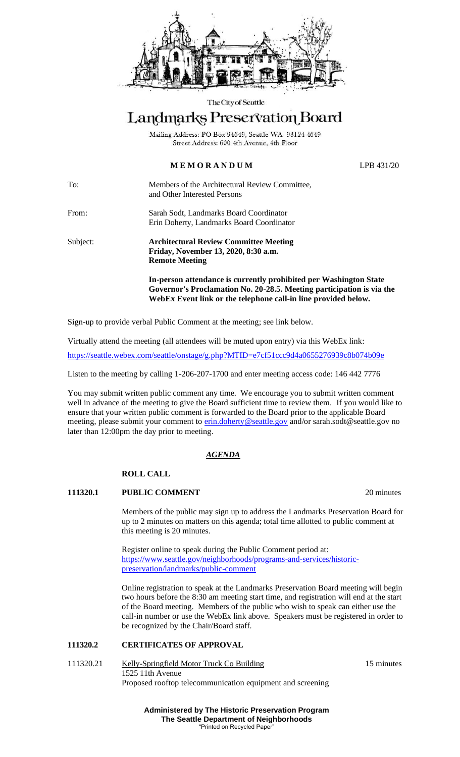

#### The City of Seattle

# Landmarks Preservation Board

Mailing Address: PO Box 94649, Seattle WA 98124-4649 Street Address: 600 4th Avenue, 4th Floor

# **M E M O R A N D U M** LPB 431/20

To: Members of the Architectural Review Committee, and Other Interested Persons

From: Sarah Sodt, Landmarks Board Coordinator Erin Doherty, Landmarks Board Coordinator

Subject: **Architectural Review Committee Meeting Friday, November 13, 2020, 8:30 a.m. Remote Meeting**

> **In-person attendance is currently prohibited per Washington State Governor's Proclamation No. 20-28.5. Meeting participation is via the WebEx Event link or the telephone call-in line provided below.**

Sign-up to provide verbal Public Comment at the meeting; see link below.

Virtually attend the meeting (all attendees will be muted upon entry) via this WebEx link:

<https://seattle.webex.com/seattle/onstage/g.php?MTID=e7cf51ccc9d4a0655276939c8b074b09e>

Listen to the meeting by calling 1-206-207-1700 and enter meeting access code: 146 442 7776

You may submit written public comment any time. We encourage you to submit written comment well in advance of the meeting to give the Board sufficient time to review them. If you would like to ensure that your written public comment is forwarded to the Board prior to the applicable Board meeting, please submit your comment to [erin.doherty@seattle.gov](mailto:erin.doherty@seattle.gov) and/or [sarah.sodt@seattle.gov](mailto:sarah.sodt@seattle.gov) no later than 12:00pm the day prior to meeting.

### *AGENDA*

### **ROLL CALL**

### **111320.1 PUBLIC COMMENT** 20 minutes

Members of the public may sign up to address the Landmarks Preservation Board for up to 2 minutes on matters on this agenda; total time allotted to public comment at this meeting is 20 minutes.

Register online to speak during the Public Comment period at: [https://www.seattle.gov/neighborhoods/programs-and-services/historic](https://www.seattle.gov/neighborhoods/programs-and-services/historic-preservation/landmarks/public-comment)[preservation/landmarks/public-comment](https://www.seattle.gov/neighborhoods/programs-and-services/historic-preservation/landmarks/public-comment)

Online registration to speak at the Landmarks Preservation Board meeting will begin two hours before the 8:30 am meeting start time, and registration will end at the start of the Board meeting. Members of the public who wish to speak can either use the call-in number or use the WebEx link above. Speakers must be registered in order to be recognized by the Chair/Board staff.

### **111320.2 CERTIFICATES OF APPROVAL**

#### 111320.21 Kelly-Springfield Motor Truck Co Building 15 minutes 1525 11th Avenue Proposed rooftop telecommunication equipment and screening

**Administered by The Historic Preservation Program The Seattle Department of Neighborhoods** "Printed on Recycled Paper"